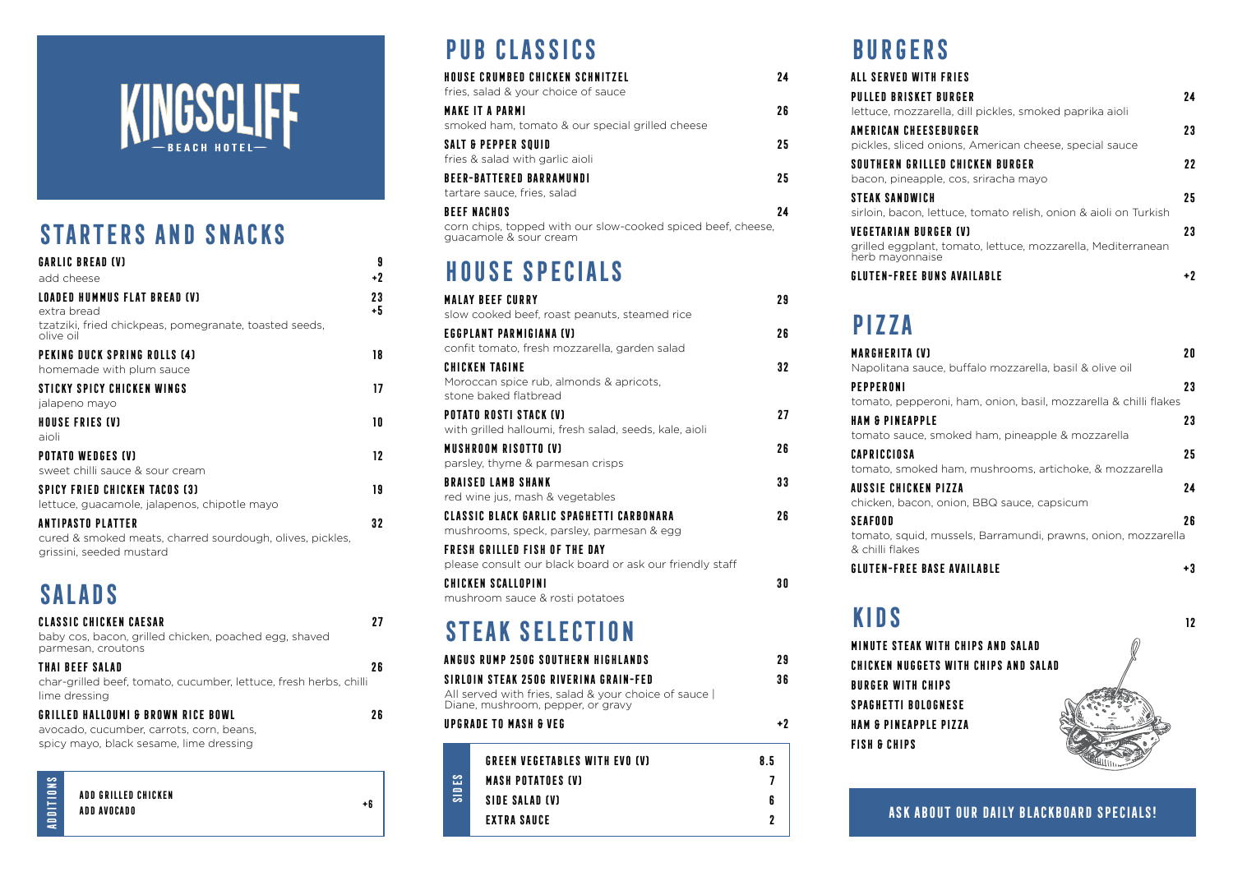#### **ASK ABOUT OUR DAILY BLACKBOARD SPECIALS!**

#### **ADD GRILLED CHICKEN ADD AVOCADO**

**ADDITIONS** ADDITION

| <b>GREEN VEGETABLES WITH EVO (V)</b> | 85 |
|--------------------------------------|----|
| <b>MASH POTATOES (V)</b>             |    |
| SIDE SALAD (V)                       |    |
| <b>EXTRA SAUCE</b>                   |    |
|                                      |    |

**+6**



## **STARTERS AND SNACKS**

| <b>GARLIC BREAD (V)</b>                                                                                           | 9          |
|-------------------------------------------------------------------------------------------------------------------|------------|
| add cheese                                                                                                        | +2         |
| LOADED HUMMUS FLAT BREAD (V)<br>extra bread                                                                       | 23<br>$+5$ |
| tzatziki, fried chickpeas, pomegranate, toasted seeds,<br>olive oil                                               |            |
| PEKING DUCK SPRING ROLLS (4)<br>homemade with plum sauce                                                          | 18         |
| STICKY SPICY CHICKEN WINGS<br>jalapeno mayo                                                                       | 17         |
| <b>HOUSE FRIES (V)</b><br>aioli                                                                                   | 10         |
| <b>POTATO WEDGES (V)</b><br>sweet chilli sauce & sour cream                                                       | 12         |
| <b>SPICY FRIED CHICKEN TACOS (3)</b><br>lettuce, guacamole, jalapenos, chipotle mayo                              | 19         |
| <b>ANTIPASTO PLATTER</b><br>cured & smoked meats, charred sourdough, olives, pickles,<br>grissini, seeded mustard | 32         |

# **SALADS**

| <b>CLASSIC CHICKEN CAESAR</b><br>baby cos, bacon, grilled chicken, poached egg, shaved<br>parmesan, croutons              |     |
|---------------------------------------------------------------------------------------------------------------------------|-----|
| THAI BEEF SALAD<br>char-grilled beef, tomato, cucumber, lettuce, fresh herbs, chilli<br>lime dressing                     | 2 R |
| GRILLED HALLOUMI & BROWN RICE BOWL<br>avocado, cucumber, carrots, corn, beans,<br>spicy mayo, black sesame, lime dressing | 2 R |
|                                                                                                                           |     |

# **PUB CLASSICS**

| <b>HOUSE CRUMBED CHICKEN SCHNITZEL</b><br>fries, salad & your choice of sauce                                | 24  |
|--------------------------------------------------------------------------------------------------------------|-----|
| <b>MAKE IT A PARMI</b><br>smoked ham, tomato & our special grilled cheese                                    | 26  |
| <b>SALT &amp; PEPPER SQUID</b><br>fries & salad with garlic aioli                                            | 25. |
| <b>BEER-BATTERED BARRAMUNDI</b><br>tartare sauce, fries, salad                                               | 25  |
| <b>BEEF NACHOS</b><br>corn chips, topped with our slow-cooked spiced beef, cheese,<br>guacamole & sour cream | 24  |

**VEGETARIAN BURGER (V) 23** grilled eggplant berb mayonnais

**GLUTEN-FREE BU** 

# **HOUSE SPECIALS**

**PEPPERONI 23** tomato, pepper **HAM & PINEAPPLI** 

**AUSSIE CHICKEN** chicken, bacon,

| <b>MALAY BEEF CURRY</b>                                                                      | 29 |
|----------------------------------------------------------------------------------------------|----|
| slow cooked beef, roast peanuts, steamed rice                                                |    |
| EGGPLANT PARMIGIANA (V)                                                                      | 26 |
| confit tomato, fresh mozzarella, garden salad                                                |    |
| <b>CHICKEN TAGINE</b>                                                                        | 32 |
| Moroccan spice rub, almonds & apricots,<br>stone baked flatbread                             |    |
| POTATO ROSTI STACK (V)                                                                       | 27 |
| with grilled halloumi, fresh salad, seeds, kale, aioli                                       |    |
| <b>MUSHROOM RISOTTO (V)</b>                                                                  | 26 |
| parsley, thyme & parmesan crisps                                                             |    |
| <b>BRAISED LAMB SHANK</b>                                                                    | 33 |
| red wine jus, mash & vegetables                                                              |    |
| <b>CLASSIC BLACK GARLIC SPAGHETTI CARBONARA</b><br>mushrooms, speck, parsley, parmesan & egg | 26 |
| FRESH GRILLED FISH OF THE DAY                                                                |    |
| please consult our black board or ask our friendly staff                                     |    |
| <b>CHICKEN SCALLOPINI</b>                                                                    | 30 |
| mushroom sauce & rosti potatoes                                                              |    |
|                                                                                              |    |

# **STEAK SELECTION**

| ANGUS RUMP 250G SOUTHERN HIGHLANDS                                                       | 29 |
|------------------------------------------------------------------------------------------|----|
| SIRLOIN STEAK 250G RIVERINA GRAIN-FED                                                    | 36 |
| All served with fries, salad & your choice of sauce<br>Diane, mushroom, pepper, or gravy |    |
| <b>UPGRADE TO MASH &amp; VEG</b>                                                         | +2 |

# **BURGERS**

| <b>PULLED BRISKET</b> |
|-----------------------|
| lettuce, mozzar       |
| <b>AMERICAN CHEES</b> |
| pickles, sliced c     |
| <b>SOUTHERN GRILL</b> |
| bacon, pineapp        |
| <b>STEAK SANDWICI</b> |
| sirloin, bacon, le    |
| VECETADIAN DIID       |

| ALL SERVED WITH FRIES                                                                            |    |
|--------------------------------------------------------------------------------------------------|----|
| <b>PULLED BRISKET BURGER</b><br>lettuce, mozzarella, dill pickles, smoked paprika aioli          | 74 |
| <b>AMERICAN CHEESEBURGER</b>                                                                     | 23 |
| pickles, sliced onions, American cheese, special sauce<br>SOUTHERN GRILLED CHICKEN BURGER        | 22 |
| bacon, pineapple, cos, sriracha mayo<br><b><i>STEAK SANDWICH</i></b>                             | 25 |
| sirloin, bacon, lettuce, tomato relish, onion & aioli on Turkish<br><b>VEGETARIAN BURGER (V)</b> | 23 |
| grilled eggplant, tomato, lettuce, mozzarella, Mediterranean<br>herb mayonnaise                  |    |
| <b>GLUTEN-FREE BUNS AVAILABLE</b>                                                                |    |

# **PIZZA**

Napolitana saud

| <b>MARGHERITA (V)</b>                                            | 20 |
|------------------------------------------------------------------|----|
| Napolitana sauce, buffalo mozzarella, basil & olive oil          |    |
| <b>PEPPERONI</b>                                                 | 23 |
| tomato, pepperoni, ham, onion, basil, mozzarella & chilli flakes |    |
| <b>HAM &amp; PINEAPPLE</b>                                       | 23 |
| tomato sauce, smoked ham, pineapple & mozzarella                 |    |
| <b>CAPRICCIOSA</b>                                               | 25 |
| tomato, smoked ham, mushrooms, artichoke, & mozzarella           |    |
| <b>AUSSIE CHICKEN PIZZA</b>                                      | 24 |
| chicken, bacon, onion, BBQ sauce, capsicum                       |    |
| <b>SEAFOOD</b>                                                   | 26 |
| tomato, squid, mussels, Barramundi, prawns, onion, mozzarella    |    |
| & chilli flakes                                                  |    |



**SEAFOOD 26** tomato, squid, & chilli flakes

**GLUTEN-FREE BASE AVAILABLE +3**

# **KIDS <sup>12</sup>**

**MINUTE STEAK WITH CHIPS AND SALAD CHICKEN NUGGETS WITH CHIPS AND SALAD BURGER WITH CHIPS SPAGHETTI BOLOGNESE HAM & PINEAPPLE PIZZA FISH & CHIPS**